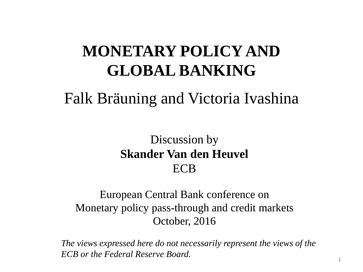# **MONETARY POLICY AND GLOBAL BANKING**

### Falk Bräuning and Victoria Ivashina

### Discussion by **Skander Van den Heuvel** ECB

#### European Central Bank conference on Monetary policy pass-through and credit markets October, 2016

*The views expressed here do not necessarily represent the views of the ECB or the Federal Reserve Board.*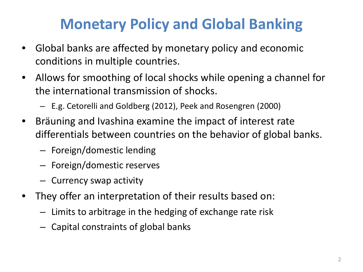# **Monetary Policy and Global Banking**

- Global banks are affected by monetary policy and economic conditions in multiple countries.
- Allows for smoothing of local shocks while opening a channel for the international transmission of shocks.
	- E.g. Cetorelli and Goldberg (2012), Peek and Rosengren (2000)
- Bräuning and Ivashina examine the impact of interest rate differentials between countries on the behavior of global banks.
	- Foreign/domestic lending
	- Foreign/domestic reserves
	- Currency swap activity
- They offer an interpretation of their results based on:
	- Limits to arbitrage in the hedging of exchange rate risk
	- Capital constraints of global banks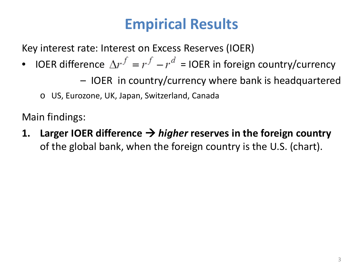### **Empirical Results**

Key interest rate: Interest on Excess Reserves (IOER)

- IOER difference  $\Delta r^f = r^f r^d$  = IOER in foreign country/currency
	- IOER in country/currency where bank is headquartered
	- o US, Eurozone, UK, Japan, Switzerland, Canada

Main findings:

**1.** Larger IOER difference  $\rightarrow$  *higher* reserves in the foreign country of the global bank, when the foreign country is the U.S. (chart).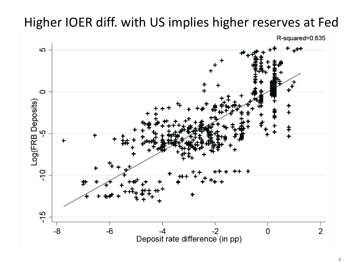### Higher IOER diff. with US implies higher reserves at Fed

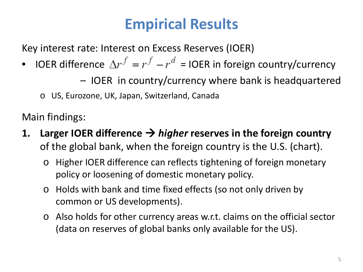### **Empirical Results**

Key interest rate: Interest on Excess Reserves (IOER)

- IOER difference  $\Delta r^f = r^f r^d$  = IOER in foreign country/currency
	- IOER in country/currency where bank is headquartered
	- o US, Eurozone, UK, Japan, Switzerland, Canada

Main findings:

- **1.** Larger IOER difference  $\rightarrow$  *higher* reserves in the foreign country of the global bank, when the foreign country is the U.S. (chart).
	- o Higher IOER difference can reflects tightening of foreign monetary policy or loosening of domestic monetary policy.
	- o Holds with bank and time fixed effects (so not only driven by common or US developments).
	- o Also holds for other currency areas w.r.t. claims on the official sector (data on reserves of global banks only available for the US).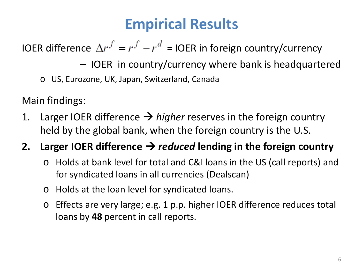### **Empirical Results**

IOER difference  $\Delta r^f = r^f - r^d = 1$ OER in foreign country/currency

- IOER in country/currency where bank is headquartered
- o US, Eurozone, UK, Japan, Switzerland, Canada

Main findings:

1. Larger IOER difference  $\rightarrow$  higher reserves in the foreign country held by the global bank, when the foreign country is the U.S.

### **2.** Larger IOER difference  $\rightarrow$  reduced lending in the foreign country

- o Holds at bank level for total and C&I loans in the US (call reports) and for syndicated loans in all currencies (Dealscan)
- o Holds at the loan level for syndicated loans.
- o Effects are very large; e.g. 1 p.p. higher IOER difference reduces total loans by **48** percent in call reports.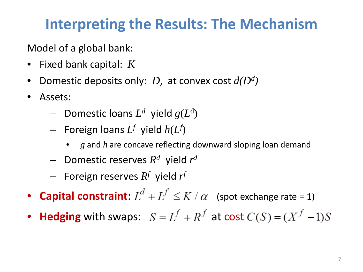Model of a global bank:

- Fixed bank capital: *K*
- Domestic deposits only: *D*, at convex cost *d(Dd)*
- Assets:
	- $-$  Domestic loans  $L^d$  yield  $g(L^d)$
	- $-$  Foreign loans  $L^f$  yield  $h(L^f)$ 
		- *g* and *h* are concave reflecting downward sloping loan demand
	- Domestic reserves *Rd* yield *rd*
	- $-$  Foreign reserves  $R^f$  yield  $r^f$
- **Capital constraint:**  $L^d + L^f \le K / \alpha$  (spot exchange rate = 1)
- **Hedging** with swaps:  $S = L^f + R^f$  at cost  $C(S) = (X^f 1)S$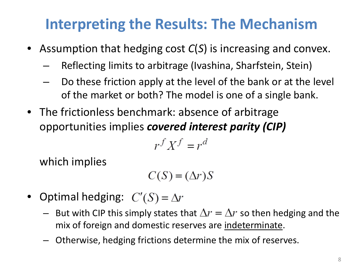- Assumption that hedging cost *C*(*S*) is increasing and convex.
	- Reflecting limits to arbitrage (Ivashina, Sharfstein, Stein)
	- Do these friction apply at the level of the bank or at the level of the market or both? The model is one of a single bank.
- The frictionless benchmark: absence of arbitrage opportunities implies *covered interest parity (CIP)*

$$
r^f X^f = r^d
$$

which implies

$$
C(S) = (\Delta r)S
$$

- Optimal hedging:  $C'(S) = \Delta r$ 
	- But with CIP this simply states that  $\Delta r = \Delta r$  so then hedging and the mix of foreign and domestic reserves are indeterminate.
	- Otherwise, hedging frictions determine the mix of reserves.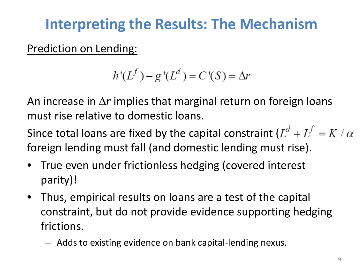Prediction on Lending:

$$
h'(L^f) - g'(L^d) = C'(S) = \Delta r
$$

An increase in ∆*r* implies that marginal return on foreign loans must rise relative to domestic loans.

Since total loans are fixed by the capital constraint  $(L^d + L^f = K / \alpha)$ foreign lending must fall (and domestic lending must rise).

- True even under frictionless hedging (covered interest parity)!
- Thus, empirical results on loans are a test of the capital constraint, but do not provide evidence supporting hedging frictions.
	- Adds to existing evidence on bank capital-lending nexus.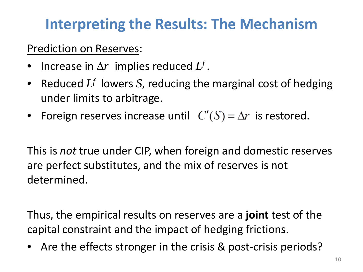#### Prediction on Reserves:

- Increase in ∆*r* implies reduced *Lf* .
- Reduced *Lf* lowers *S*, reducing the marginal cost of hedging under limits to arbitrage.
- Foreign reserves increase until  $C'(S) = \Delta r$  is restored.

This is *not* true under CIP, when foreign and domestic reserves are perfect substitutes, and the mix of reserves is not determined.

Thus, the empirical results on reserves are a **joint** test of the capital constraint and the impact of hedging frictions.

• Are the effects stronger in the crisis & post-crisis periods?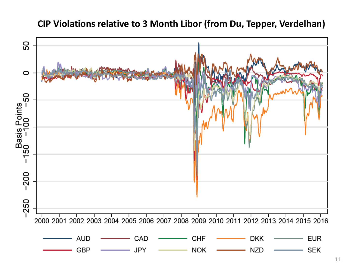### 50  $\circ$ Basis Points<br>150 -100 -50  $-200$  $-250$ 2000 2001 2002 2003 2004 2005 2006 2007 2008 2009 2010 2011 2012 2013 2014 2015 2016 **AUD** CAD **CHF DKK EUR** GBP **NOK SEK JPY NZD**

#### **CIP Violations relative to 3 Month Libor (from Du, Tepper, Verdelhan)**